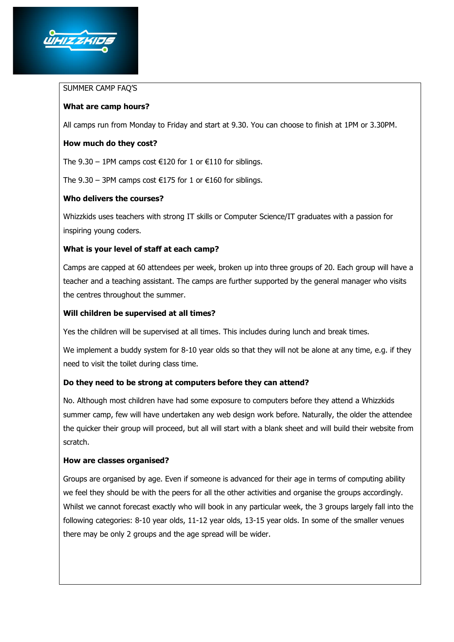

#### SUMMER CAMP FAQ'S

# **What are camp hours?**

All camps run from Monday to Friday and start at 9.30. You can choose to finish at 1PM or 3.30PM.

### **How much do they cost?**

The 9.30 – 1PM camps cost €120 for 1 or €110 for siblings.

The 9.30 – 3PM camps cost  $\epsilon$ 175 for 1 or  $\epsilon$ 160 for siblings.

### **Who delivers the courses?**

Whizzkids uses teachers with strong IT skills or Computer Science/IT graduates with a passion for inspiring young coders.

# **What is your level of staff at each camp?**

Camps are capped at 60 attendees per week, broken up into three groups of 20. Each group will have a teacher and a teaching assistant. The camps are further supported by the general manager who visits the centres throughout the summer.

### **Will children be supervised at all times?**

Yes the children will be supervised at all times. This includes during lunch and break times.

We implement a buddy system for 8-10 year olds so that they will not be alone at any time, e.g. if they need to visit the toilet during class time.

# **Do they need to be strong at computers before they can attend?**

No. Although most children have had some exposure to computers before they attend a Whizzkids summer camp, few will have undertaken any web design work before. Naturally, the older the attendee the quicker their group will proceed, but all will start with a blank sheet and will build their website from scratch.

#### **How are classes organised?**

Groups are organised by age. Even if someone is advanced for their age in terms of computing ability we feel they should be with the peers for all the other activities and organise the groups accordingly. Whilst we cannot forecast exactly who will book in any particular week, the 3 groups largely fall into the following categories: 8-10 year olds, 11-12 year olds, 13-15 year olds. In some of the smaller venues there may be only 2 groups and the age spread will be wider.